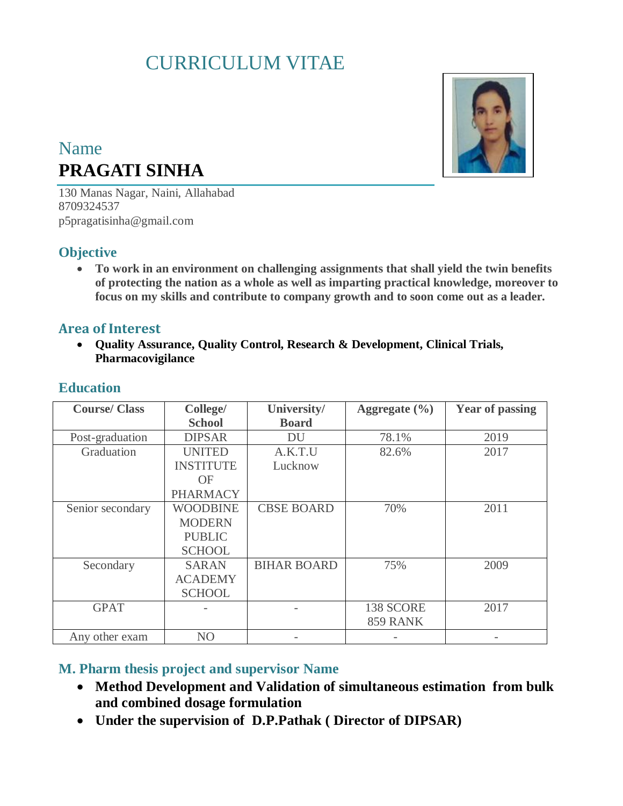# CURRICULUM VITAE

# Name **PRAGATI SINHA**

130 Manas Nagar, Naini, Allahabad 8709324537 p5pragatisinha@gmail.com

#### **Objective**

 **To work in an environment on challenging assignments that shall yield the twin benefits of protecting the nation as a whole as well as imparting practical knowledge, moreover to focus on my skills and contribute to company growth and to soon come out as a leader.**

#### **Area of Interest**

 **Quality Assurance, Quality Control, Research & Development, Clinical Trials, Pharmacovigilance**

| <b>Course/Class</b> | College/         | University/        | Aggregate $(\% )$ | <b>Year of passing</b> |
|---------------------|------------------|--------------------|-------------------|------------------------|
|                     | <b>School</b>    | <b>Board</b>       |                   |                        |
| Post-graduation     | <b>DIPSAR</b>    | DU                 | 78.1%             | 2019                   |
| Graduation          | <b>UNITED</b>    | A.K.T.U            | 82.6%             | 2017                   |
|                     | <b>INSTITUTE</b> | Lucknow            |                   |                        |
|                     | OF               |                    |                   |                        |
|                     | <b>PHARMACY</b>  |                    |                   |                        |
| Senior secondary    | <b>WOODBINE</b>  | <b>CBSE BOARD</b>  | 70%               | 2011                   |
|                     | <b>MODERN</b>    |                    |                   |                        |
|                     | <b>PUBLIC</b>    |                    |                   |                        |
|                     | <b>SCHOOL</b>    |                    |                   |                        |
| Secondary           | <b>SARAN</b>     | <b>BIHAR BOARD</b> | 75%               | 2009                   |
|                     | <b>ACADEMY</b>   |                    |                   |                        |
|                     | <b>SCHOOL</b>    |                    |                   |                        |
| <b>GPAT</b>         |                  |                    | 138 SCORE         | 2017                   |
|                     |                  |                    | <b>859 RANK</b>   |                        |
| Any other exam      | N <sub>O</sub>   |                    |                   |                        |

# **Education**

#### **M. Pharm thesis project and supervisor Name**

- **Method Development and Validation of simultaneous estimation from bulk and combined dosage formulation**
- **Under the supervision of D.P.Pathak ( Director of DIPSAR)**